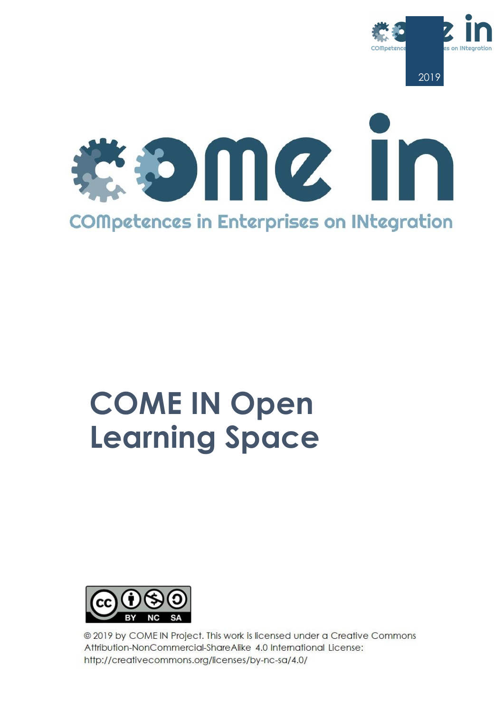



# **COME IN Open Learning Space**



@ 2019 by COME IN Project. This work is licensed under a Creative Commons Attribution-NonCommercial-ShareAlike 4.0 International License: http://creativecommons.org/licenses/by-nc-sa/4.0/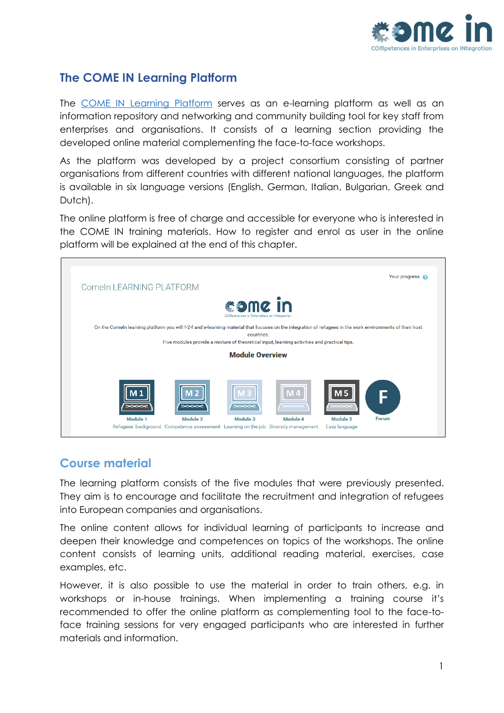

### **The COME IN Learning Platform**

The [COME IN Learning Platform](http://learning.vita-eu.org/course/index.php?categoryid=31) serves as an e-learning platform as well as an information repository and networking and community building tool for key staff from enterprises and organisations. It consists of a learning section providing the developed online material complementing the face-to-face workshops.

As the platform was developed by a project consortium consisting of partner organisations from different countries with different national languages, the platform is available in six language versions (English, German, Italian, Bulgarian, Greek and Dutch).

The online platform is free of charge and accessible for everyone who is interested in the COME IN training materials. How to register and enrol as user in the online platform will be explained at the end of this chapter.



### **Course material**

The learning platform consists of the five modules that were previously presented. They aim is to encourage and facilitate the recruitment and integration of refugees into European companies and organisations.

The online content allows for individual learning of participants to increase and deepen their knowledge and competences on topics of the workshops. The online content consists of learning units, additional reading material, exercises, case examples, etc.

However, it is also possible to use the material in order to train others, e.g. in workshops or in-house trainings. When implementing a training course it's recommended to offer the online platform as complementing tool to the face-toface training sessions for very engaged participants who are interested in further materials and information.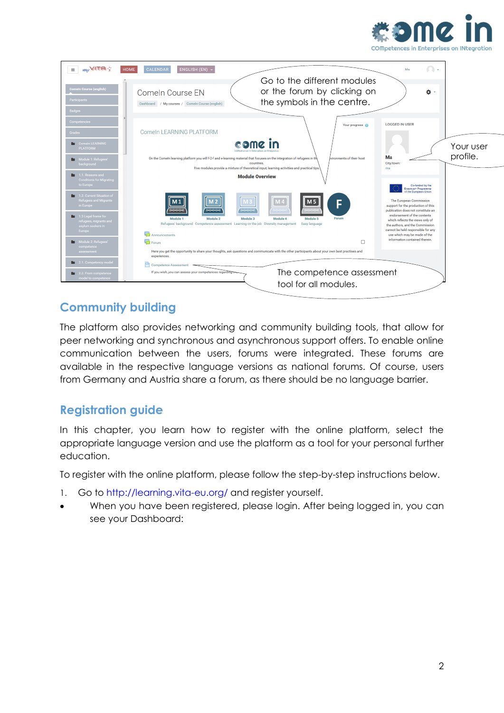



### **Community building**

The platform also provides networking and community building tools, that allow for peer networking and synchronous and asynchronous support offers. To enable online communication between the users, forums were integrated. These forums are available in the respective language versions as national forums. Of course, users from Germany and Austria share a forum, as there should be no language barrier.

#### **Registration guide**

In this chapter, you learn how to register with the online platform, select the appropriate language version and use the platform as a tool for your personal further education.

To register with the online platform, please follow the step-by-step instructions below.

- 1. Go to http://learning.vita-eu.org/ and register yourself.
- When you have been registered, please login. After being logged in, you can see your Dashboard: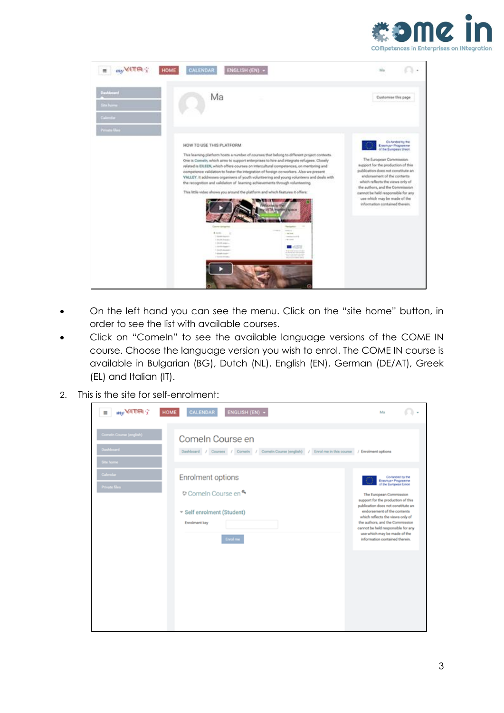



- On the left hand you can see the menu. Click on the "site home" button, in order to see the list with available courses.
- Click on "ComeIn" to see the available language versions of the COME IN course. Choose the language version you wish to enrol. The COME IN course is available in Bulgarian (BG), Dutch (NL), English (EN), German (DE/AT), Greek (EL) and Italian (IT).
- 2. This is the site for self-enrolment:

| my VITA ?<br>$\blacksquare$                                | CALENDAR<br>ENGLISH (EN) +<br><b>HOME</b>                                                                                  | Ma                                                                                                                                                                                                                                                                                                                                                                                   |  |
|------------------------------------------------------------|----------------------------------------------------------------------------------------------------------------------------|--------------------------------------------------------------------------------------------------------------------------------------------------------------------------------------------------------------------------------------------------------------------------------------------------------------------------------------------------------------------------------------|--|
| Cornelin Course (english)<br><b>Dashboard</b><br>Site home | Comeln Course en<br>Dashboard / Courses / Comein / Comein Course (english) / Enrol me in this course / Enrolment options   |                                                                                                                                                                                                                                                                                                                                                                                      |  |
| Calendar<br><b>Private files</b>                           | Enrolment options<br>Comeln Course en <sup>4</sup><br>* Self enrolment (Student)<br><b>Enrolment</b> key<br><b>Enrolme</b> | Co-funded by the<br>Erenmuse Programme<br>of the European Union<br>The European Commission<br>support for the production of this<br>publication does not constitute an<br>endorsement of the contents<br>which reflects the views only of<br>the authors, and the Commission<br>cannot be held responsible for any<br>use which may be made of the<br>information contained therein. |  |
|                                                            |                                                                                                                            |                                                                                                                                                                                                                                                                                                                                                                                      |  |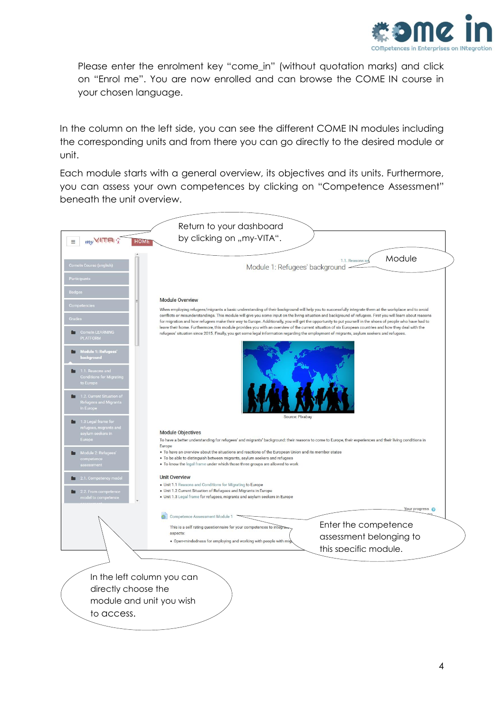

Please enter the enrolment key "come in" (without quotation marks) and click on "Enrol me". You are now enrolled and can browse the COME IN course in your chosen language.

In the column on the left side, you can see the different COME IN modules including the corresponding units and from there you can go directly to the desired module or unit.

Each module starts with a general overview, its objectives and its units. Furthermore, you can assess your own competences by clicking on "Competence Assessment" beneath the unit overview.